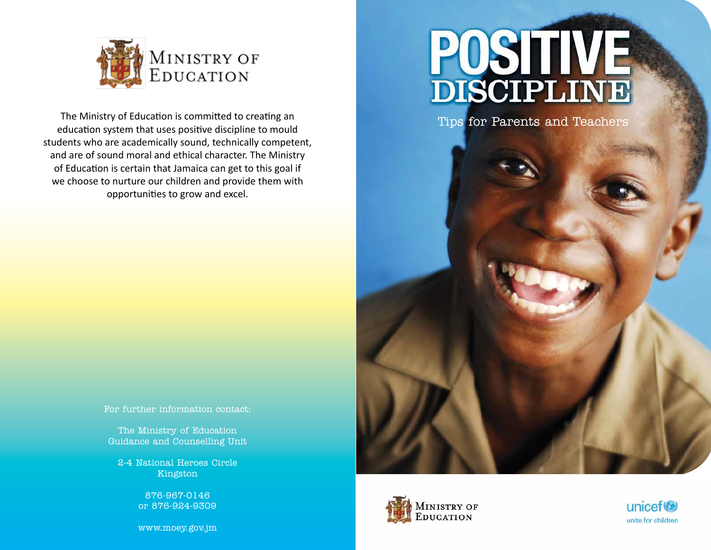

The Ministry of Education is committed to creating an education system that uses positive discipline to mould students who are academically sound, technically competent, and are of sound moral and ethical character. The Ministry of Education is certain that Jamaica can get to this goal if we choose to nurture our children and provide them with opportunities to grow and excel.

## POSITIVE

Tips for Parents and Teachers

For further information contact:

The Ministry of Education Guidance and Counselling Unit

2-4 National Heroes Circle Kingston

> 876-967-0146 or 876-924-9309

www.moey.gov.jm